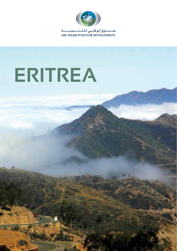

# **ERITREA**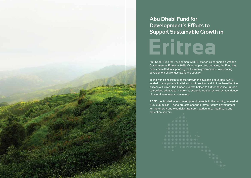## **Abu Dhabi Fund for Development's Efforts to Support Sustainable Growth in Eritrea**

Abu Dhabi Fund for Development (ADFD) started its partnership with the Government of Eritrea in 1995. Over the past two decades, the Fund has been committed to supporting the Eritrean government in overcoming development challenges facing the country.

In-line with its mission to bolster growth in developing countries, ADFD funded crucial projects in vital economic sectors and, in turn, benefited the citizens of Eritrea. The funded projects helped to further advance Eritrea's competitive advantage, namely its strategic location as well as abundance of natural resources and minerals.

ADFD has funded seven development projects in the country, valued at AED 696 million. These projects spanned infrastructure development for the energy and electricity, transport, agriculture, healthcare and education sectors.



1 ERITREA ERITREA ERITREA ERITREA ERITREA ERITREA ERITREA ERITREA ERITREA ERITREA ERITREA ERITREA ERITREA ERIT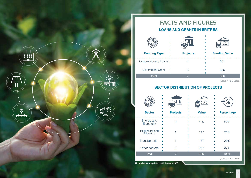

### **LOANS AND GRANTS IN ERITREA FACTS AND FIGURES**

| <b>Funding Type</b>        | <b>Projects</b> | <b>Funding Value</b> |  |
|----------------------------|-----------------|----------------------|--|
| <b>Concessionary Loans</b> |                 | 361                  |  |
| Government Grant           | З               | 335                  |  |
| Total                      |                 | 696                  |  |

(Value in AED Million)

**Value Percentage** 

#### **SECTOR DISTRIBUTION OF PROJECTS**

| <b>Sector</b>               | <b>Projects</b> | <b>Value</b> | <b>Percent</b> |
|-----------------------------|-----------------|--------------|----------------|
| Energy and<br>Electricity   | З               | 155          | 22%            |
| Healthcare and<br>Education |                 | 147          | 21%            |
| Transportation              |                 | 137          | 20%            |
| Other sectors               | 2               | 257          | 37%            |
| Total                       |                 | 696          | 100%           |

(Value in AED Million)

**All numbers are updated until January 2020**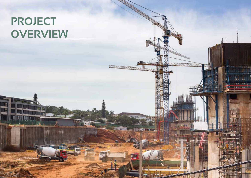## **PROJECT OVERVIEW**

5 ERITREA ERITREA ERITREA ERITREA ERITREA ERITREA ERITREA ERITREA ERITREA ERITREA ERITREA ERITREA ERITREA ERI

**Contract of the Contract of the Contract of the Contract of the Contract of the Contract of The Contract of The Contract of The Contract of The Contract of The Contract of The Contract of The Contract of The Contract of T** 

**MAAAAAz**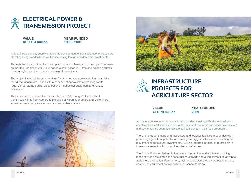

**VALUE AED 104 million**

#### **YEAR FUNDED 1995 - 2001**

A Sustained electricity supply enables the development of key socio-economic sectors elevating living standards, as well as increasing foreign and domestic investments.

Through the construction of a power plant in the southern part of the city of Massawa on the Red Sea coast, ADFD supported electrification in Eritrea and helped address the country's urgent and growing demand for electricity.

The project included the construction of an 84-megawatt power station comprising four diesel generators – each with a capacity of approximately 21 megawatts, required fuel storage units, electrical and mechanical equipment and various civil works.

The project also included the construction of 165 km long, 66 kV electrical transmission lines from Asmara to the cities of Keren, Mendefera and Dekemhare, as well as necessary transformers and secondary stations.







**VALUE AED 73 million** **YEAR FUNDED 2009**

Agriculture development is crucial to all countries, most specifically to developing countries.As a vital sector, it is one of the pillars of economic and social development and key to helping countries achieve self-sufficiency in their food production.

There is no doubt that poor infrastructure and logistics facilities in countries with promising agricultural potential are among the biggest setbacks in restricting the movement of agricultural investments. ADFD supported infrastructure projects in these core areas in a bid to address these challenges.

The Fund's financing helped in the provision of agricultural equipment, drilling machinery and resulted in the construction of roads and allied services to advance agriculture production. Furthermore, maintenance workshops were established to service the equipment as well as train personnel to do so.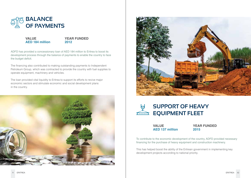

#### **VALUE AED 184 million**

#### **YEAR FUNDED 2012**

ADFD has provided a concessionary loan of AED 184 million to Eritrea to boost its development process through the balance of payments to enable the country to face the budget deficit.

The financing also contributed to making outstanding payments to Independent Petroleum Group, which was contracted to provide the country with fuel supplies to operate equipment, machinery and vehicles.

The loan provided vital liquidity to Eritrea to support its efforts to revive major economic sectors and stimulate economic and social development plans in the country.







#### **VALUE AED 137 million**

**YEAR FUNDED 2015**

To contribute to the economic development of the country, ADFD provided necessary financing for the purchase of heavy equipment and construction machinery.

This has helped boost the ability of the Eritrean government in implementing key development projects according to national priority.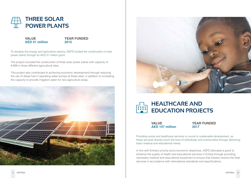

**VALUE AED 51 million**

#### **YEAR FUNDED 2015**

To develop the energy and agriculture sectors, ADFD funded the construction of solar power plants through an AED 51 million grant.

The project included the construction of three solar power plants with capacity of 8 MW in three different agricultural sites.

This project also contributed to achieving economic development through reducing the use of diesel fuel in operating water pumps at these sites, in addition to increasing the capacity to provide irrigation water for new agriculture areas.





### **HEALTHCARE AND EDUCATION PROJECTS**

**VALUE AED 147 million** **YEAR FUNDED 2017**

Providing social and healthcare services is crucial to sustainable development, as these services directly touch the lives of individuals and communities through delivering basic medical and educational needs.

In line with Eritrea's priority socio-economic objectives, ADFD allocated a grant to enhance the quality of health and educational services in Eritrea through providing necessary medical and educational equipment to ensure that citizens receive the best services in accordance with international standards and specifications.